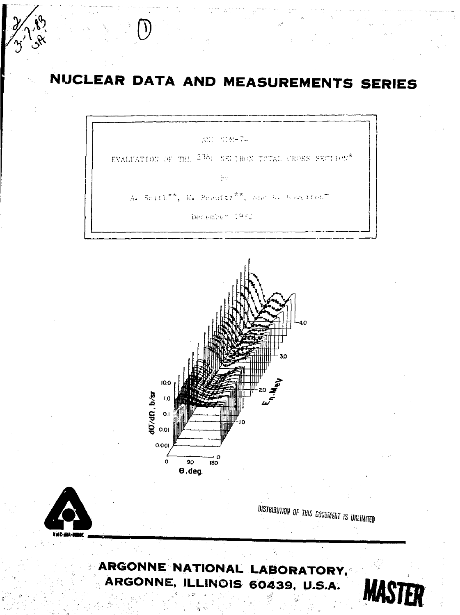# NUCLEAR DATA AND MEASUREMENTS SERIES

AND - 1086-7-

EVALUATION OF THE 235; NEUTRON TOTAL CROSS SECTION\*

 $\frac{1}{2}$ 

A. Stath<sup>\*\*</sup>, W. Poenitr<sup>\*\*</sup>, and & howrited

December 1982





DISTRIBUTION OF THIS DOCUMENT IS UNLIMITED

# ARGONNE NATIONAL LABORATORY, ARGONNE, ILLINOIS 60439, U.S.A.

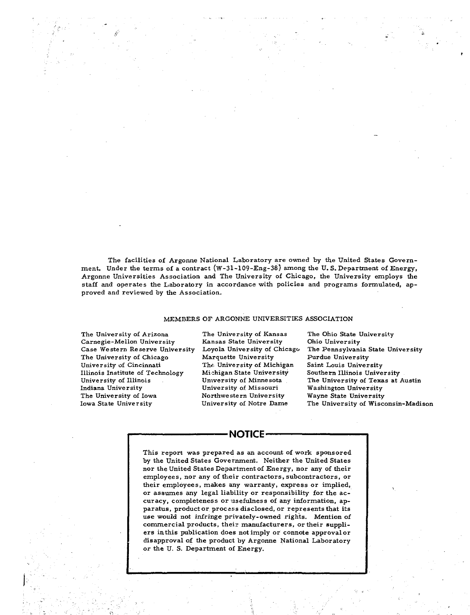The facilities of Argonne National Laboratory are owned by the United States Government. Under the terms of a contract (W-31-109-Eng-38) among the U. S. Department of Energy, Argonne Universities Association and The University of Chicago, the University employs the staff and operates the Laboratory in accordance with policies and programs formulated, approved and reviewed by the Association.

#### MEMBERS OF ARGONNE UNIVERSITIES ASSOCIATION

The University of Arizona Carnegie-Mellon University Case Western Reserve University The University of Chicago University of Cincinnati Illinois Institute of Technology University of Illinois Indiana University The University of Iowa Iowa State University

The University of Kansas Kansas State University Loyola University of Chicago Marquette University The University of Michigan Michigan State University University of Minnesota University of Missouri Northwestern University University of Notre Dame

The Ohio State University Ohio University The Pennsylvania State University Purdue University Saint Louis University Southern Illinois University The University of Texas at Austin Washington University Wayne State University The University of Wisconsin-Madison

#### **•NOTICE-**

This report was prepared as an account of work sponsored by the United States Government. Neither the United States nor the United States Department of Energy, nor any of their employees, nor any of their contractors, subcontractors, or their employees, makes any warranty, express or implied, or assumes any legal liability or responsibility for the accuracy, completeness or usefulness of any information, apparatus, product or process disclosed, or represents that its use would not infringe privately-owned rights. Mention of commercial products, their manufacturers, or their suppliers in this publication does not imply or connote approval or disapproval of the product by Argonne National Laboratory or the U. S. Department of Energy.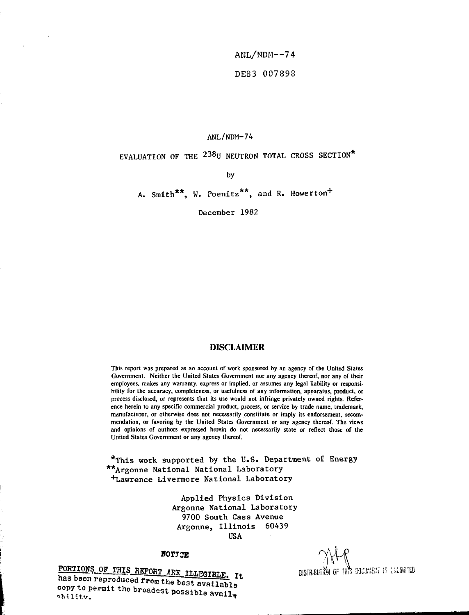**ANL/NDH—74 DE83 007898**

# ANL/NDM-74

# EVALUATION OF THE 238U NEUTRON TOTAL CROSS SECTION\*

by

A. Smith<sup>\*\*</sup>, W. Poenitz<sup>\*\*</sup>, and R. Howerton<sup>+</sup>

December 1982

## **DISCLAIMER**

**This report was prepared as an account nf work sponsored by an agency of the United States Government. Neither the United States Government nor any agency thereof, nor any of their employees, makes any warranty, express or implied, or assumes any legal liability or responsibility for the accuracy, completeness, or usefulness of any information, apparatus, product, or process disclosed, or represents that its use would not infringe privately owned rights. Reference herein to any specific commercial product, process, or service by trade name, trademark, manufacturer, or otherwise does not necessarily constitute or imply its endorsement, recommendation, or favoring by the United States Government or any agency thereof. The views and opinions of authors expressed herein do not necessarily state or reflect those of the United States Government or any agency thereof.**

\*This work supported by the U.S. Department of Energy \*\*Argonne National National Laboratory <sup>+</sup>Lawrence Livermore National Laboratory

> Applied Physics Division Argonne National Laboratory 9700 South Cass Avenue Argonne, Illinois 60439 USA

#### **H0TX3E**

**PORTIONS OF THIS REPORT ARE ILLEGIBLE.** T+ **DISTRIBUTER OF THIS DICUMENT IS CWILIMITED** has been reproduced from the best available **copy to permit the broadest possible available** 

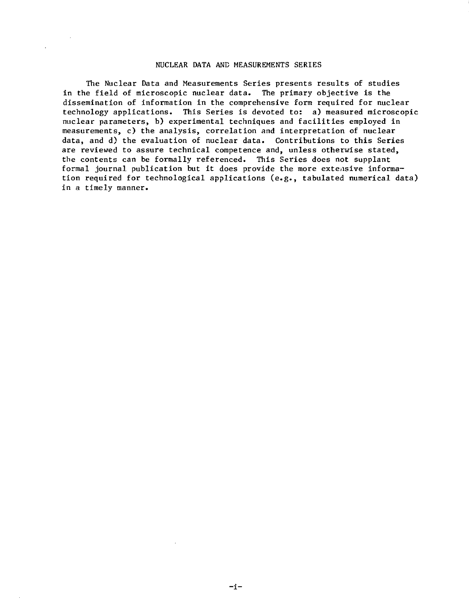#### NUCLEAR DATA AND MEASUREMENTS SERIES

The Nuclear Data and Measurements Series presents results of studies in the field of microscopic nuclear data. The primary objective is the dissemination of information in the comprehensive form required for nuclear technology applications. This Series is devoted to: a) measured microscopic nuclear parameters, b) experimental techniques and facilities employed in measurements, c) the analysis, correlation and interpretation of nuclear data, and d) the evaluation of nuclear data. Contributions to this Series are reviewed to assure technical competence and, unless otherwise stated, the contents can be formally referenced. This Series does not supplant formal journal publication but it does provide the more extensive information required for technological applications (e.g., tabulated numerical data) in a timely manner.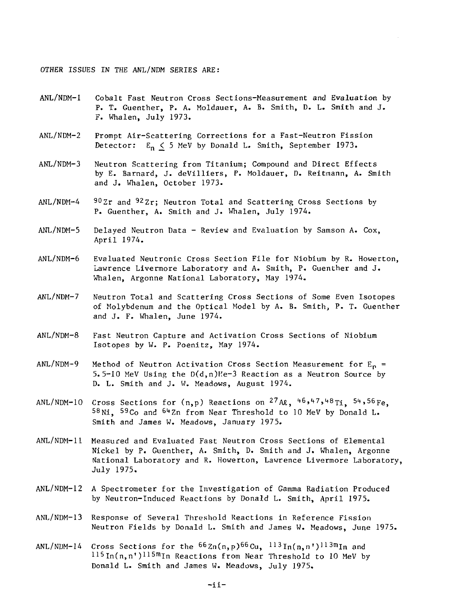OTHER ISSUES IN THE ANL/NDM SERIES ARE:

- ANL/NDM-1 Cobalt Fast Neutron Cross Sections-Measurement and Evaluation by P. T. Guenther, P. A. Moldauer, A. B. Smith, D. L. Smith and J. F. Whalen, July 1973.
- ANL/NDM-2 Prompt Air-Scattering Corrections for a Fast-Neutron Fission Detector:  $E_n \leq 5$  MeV by Donald L. Smith, September 1973.
- ANL/NDM-3 Neutron Scattering from Titanium; Compound and Direct Effects by E. Barnard, J. deVilliers, P. Moldauer, D. Reitmann, A. Smith and J. Whalen, October 1973.
- ANL/NDM-4 90Zr and 92Zr; Neutron Total and Scattering Cross Sections by P. Guenther, A. Smith and J. Whalen, July 1974.
- ANL/NDM-5 Delayed Neutron Data Review and Evaluation by Samson A. Cox, April 1974.
- ANL/NDM-6 Evaluated Neutronic Cross Section File for Niobium by R. Howerton, Lawrence Livermore Laboratory and A. Smith, P. Guenther and J. Whalen, Argonne National Laboratory, May 1974.
- ANL/NDM-7 Neutron Total and Scattering Cross Sections of Some Even Isotopes of Molybdenum and the Optical Model by A. B. Smith, P. T. Guenther and J. F. Whalen, June 1974.
- ANL/NDM-8 Fast Neutron Capture and Activation Cross Sections of Niobium Isotopes by W. P. Poenitz, May 1974.
- ANL/NDM-9 Method of Neutron Activation Cross Section Measurement for  $E_p =$ 5.5-10 MeV Using the  $D(d, n)He-3$  Reaction as a Neutron Source by D. L. Smith and J. W. Meadows, August 1974.
- <code>ANL/NDM-10 Cross Sections for (n,p)</code> Reactions on  $^{27}$ A $\alpha$ ,  $^{46}$ ,47,48 $_{\rm Ti}$ ,  $^{54}$ ,56 $_{\rm Fe}$ 58 Ni, 59 Co and <sup>64</sup> Zn from Near Threshold to 10 MeV by Donald L. Smith and James W. Meadows, January 1975.
- ANL/NDM-11 Measured and Evaluated Fast Neutron Cross Sections of Elemental Nickel by P. Guenther, A. Smith, D. Smith and J. Whalen, Argonne National Laboratory and R. Howerton, Lawrence Livermore Laboratory, July 1975.
- ANL/NDM-12 A Spectrometer for the Investigation of Gamma Radiation Produced by Neutron-Induced Reactions by Donald L. Smith, April 1975.
- ANL/NDM-13 Response of Several Threshold Reactions in Reference Fission Neutron Fields by Donald L. Smith and James W. Meadows, June 1975.
- ANL/NDM-14 Cross Sections for the <sup>66</sup>Zn(n,p)<sup>66</sup>Cu, <sup>113</sup>In(n,n')<sup>113m</sup>In an  $115$ In(n,n')<sup>115m</sup>In Reactions from Near Threshold to 10 MeV by Donald L. Smith and James W. Meadows, July 1975.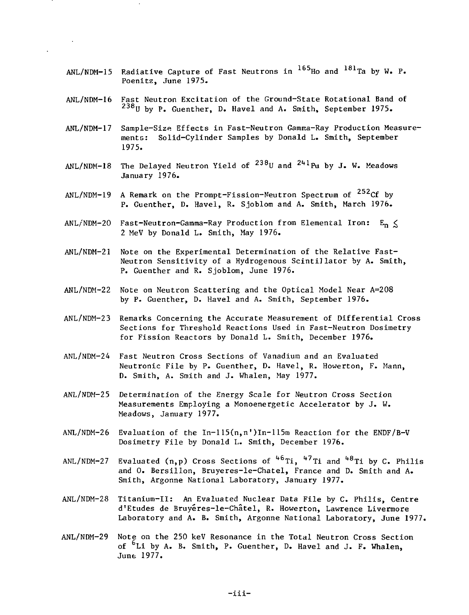- ANL/NDM-15 Radiative Capture of Fast Neutrons in <sup>165</sup>Ho and <sup>181</sup>Ta by W. P. Poenitz, June 1975.
- ANL/NDM-16 Fast Neutron Excitation of the Ground-State Rotational Band of <sup>238</sup> U by P. Guenther, D. Havel and A. Smith, September 1975.
- ANL/NDM-17 Sample-Size Effects in Fast-Neutron Gamma-Ray Production Measurements: Solid-Cylinder Samples by Donald L. Smith, September 1975.
- ANL/NDM-18 The Delayed Neutron Yield of <sup>238</sup>U and <sup>241</sup>Pu by J. W. Meadow January 1976.
- ANL/NDM<del>-</del>19 A Remark on the Prompt-Fission-Neutron Spectrum of <sup>252</sup>Cf by P. Guenther, D. Havel, R. Sjoblom and A. Smith, March 1976.
- ANL/NDM-20 Fast-Neutron-Gamma-Ray Production from Elemental Iron:  $E_n \leq$ 2 MeV by Donald L. Smith, May 1976.
- ANL/NDM-21 Note on the Experimental Determination of the Relative Fast-Neutron Sensitivity of a Hydrogenous Scintillator by A. Smith, P. Guenther and R. Sjoblom, June 1976.
- ANL/NDM-22 Note on Neutron Scattering and the Optical Model Near A=208 by P. Guenther, D. Havel and A. Smith, September 1976.
- ANL/NDM-23 Remarks Concerning the Accurate Measurement of Differential Cross Sections for Threshold Reactions Used in Fast-Neutron Dosimetry for Fission Reactors by Donald L. Smith, December 1976.
- ANL/NDM-24 Fast Neutron Cross Sections of Vanadium and an Evaluated Neutronic File by P. Guenther, D. Havel, R. Howerton, F. Mann, D. Smith, A. Smith and J. Whalen, May 1977.
- ANL/NDM-25 Determination of the Energy Scale for Neutron Cross Section Measurements Employing a Monoenergetic Accelerator by J. W. Meadows, January 1977.
- ANL/NDM-26 Evaluation of the In-115(n,n")In-l15m Reaction for the ENDF/B-V Dosimetry File by Donald L. Smith, December 1976.
- ANL/NDM-27 Evaluated (n,p) Cross Sections of <sup>46</sup>Ti, <sup>47</sup>Ti and <sup>48</sup>Ti by C. Philis and 0. Berslllon, Bruyeres-le-Chatel, France and D. Smith and A. Smith, Argonne National Laboratory, January 1977.
- ANL/NDM-28 Titanium-11: An Evaluated Nuclear Data File by C. Philis, Centre d'Etudes de Bruyéres-le-Châtel, R. Howerton, Lawrence Livermore Laboratory and A. B. Smith, Argonne National Laboratory, June 1977.
- ANL/NDM-29 Note on the 250 keV Resonance in the Total Neutron Cross Section of <sup>6</sup>Li by A. B. Smith, P. Guenther, D. Havel and J. F. Whalen, June 1977.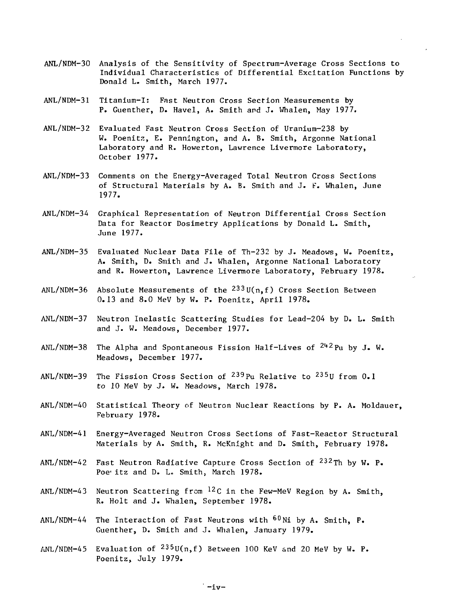- ANL/NDM-30 Analysis of the Sensitivity of Spectrum-Average Cross Sections to Individual Characteristics of Differential Excitation Functions by Donald L. Smith, March 1977.
- ANL/NDM-31 Titanium-I: Fast Neutron Cross Section Measurements by P. Guenther, D. Havel, A. Smith and J. Whalen, May 1977.
- ANL/NDM-32 Evaluated Fast Neutron Cross Section of Uranium-238 by W. Poenitz, E. Pennington, and A. B. Smith, Argonne National Laboratory and R. Howerton, Lawrence Livermore Laboratory, October 1977.
- ANL/NDM-33 Comments on the Energy-Averaged Total Neutron Cross Sections of Structural Materials by A. B. Smith and J. F. Whalen, June 1977.
- ANL/NDM-34 Graphical Representation of Neutron Differential Cross Section Data for Reactor Dosimetry Applications by Donald L. Smith, June 1977.
- ANL/NDM-35 Evaluated Nuclear Data File of Th-232 by J. Meadows, W. Poenitz, A. Smith, D. Smith and J. Whalen, Argonne National Laboratory and R. Howerton, Lawrence Livermore Laboratory, February 1978.
- $ANL/NDM-36$  Absolute Measurements of the  $^{233}$ U(n,f) Cross Section Between 0.13 and 8.0 MeV by W. P. Poenitz, April 1978.
- ANL/NDM-37 Neutron Inelastic Scattering Studies for Lead-204 by D. L. Smith and J. W. Meadows, December 1977.
- <code>ANL/NDM-38 The Alpha</code> and <code>Spontaneous Fission Half–Lives</code> of  $^{24\,2}\rm{Pu}$  by J. W. Meadows, December 1977.
- ANL/NDM-39 The Fission Cross Section of <sup>239</sup>Pu Relative to <sup>235</sup>U from 0. to 10 MeV by J. W. Meadows, March 1978.
- ANL/NDM-40 Statistical Theory cf Neutron Nuclear Reactions by P. A. Moldauer, February 1978.
- ANL/NDM-41 Energy-Averaged Neutron Cross Sections of Fast-Reactor Structural Materials by A. Smith, R. McKnight and D. Smith, February 1978.
- ANL/NDM-42 Fast Neutron Radiative Capture Cross Section of <sup>232</sup>Th by W**.** P. Poe<sup>t</sup> itz and D. L. Smith, March 1978.
- ANL/NDM-43 Neutron Scattering from <sup>12</sup>C in the Few-MeV Region by A. Smith, R. Holt and J. Whalen, September 1978.
- ANL/NDM-44 The Interaction of Fast Neutrons with <sup>60</sup>Ni by A**.** Smith**, P.** Guenther, D. Smith and J. Whalen, January 1979.
- <code>ANL/NDM-45 Evaluation</code> of  $^{235}$ U(n,f) Between 100 KeV and 20 MeV by W. P. Poenitz, July 1979.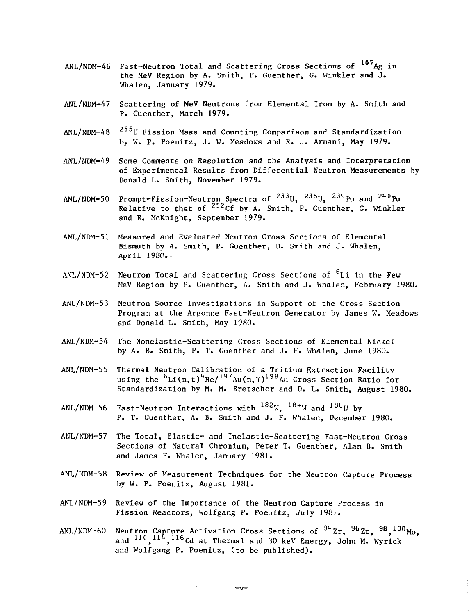- ANL/NDM-46 Fast-Neutron Total and Scattering Cross Sections of <sup>107</sup>Ag in the MeV Region by A. Smith, P. Guenther, G. Winkler and J. Whalen, January 1979.
- ANL/NDM-47 Scattering of MeV Neutrons from Elemental Iron by A. Smith and P. Guenther, March 1979.
- $ANL/NDM-48$ 235U Fission Mass and Counting Comparison and Standardization by W. P. Poenitz, J. W. Meadows and R. J. Armani, May 1979.
- ANL/NDM-49 Some Comments on Resolution and the Analysis and Interpretation of Experimental Results from Differential Neutron Measurements by Donald L. Smith, November 1979.
- ANL/NDM-50 Prompt-Fission-Neutron Spectra of <sup>233</sup>U, <sup>235</sup>U, <sup>239</sup>Pu and <sup>240</sup>I Relative to that of  $^{252}$ Cf by A. Smith, P. Guenther, G. Winkler and R. McKnight, September 1979.
- ANL/NDM-51 Measured and Evaluated Neutron Cross Sections of Elemental Bismuth by A. Smith, P. Guenther, D. Smith and J. Whalen, April 1980.
- ANL/NDM-52 Neutron Total and Scattering Cross Sections of <sup>b</sup>Li in the Few MeV Region by P. Guenther, A. Smith and J. Whalen, February 1980.
- ANL/NDM-53 Neutron Source Investigations in Support of the Cross Section Program at the Argonne Fast-Neutron Generator by James W. Meadows and Donald L. Smith, May 1980.
- ANL/NDM-54 The Nonelastic-Scattering Cross Sections of Elemental Nickel by A. B. Smith, P. T. Guenther and J. F. Whalen, June 1980.
- ANL/NDM-55 Thermal Neutron Calibration of a Tritium Extraction Facility using the <sup>b</sup>Li(n,t)<sup>4</sup>He/<sup>197</sup>Au(n,Y)<sup>198</sup>Au Cross Section Ratio for Standardization by M. M. Bretscher and D. L. Smith, August 1980.
- ANL/NDM-56 Fast-Neutron Interactions with  $^{182}$ W,  $^{184}$ W and  $^{186}$ W b P. T. Guenther, A. B. Smith and J. F. Whalen, December 1980.
- ANL/NDM-57 The Total, Elastic- and Inelastic-Scattering Fast-Neutron Cross Sections of Natural Chromium, Peter T. Guenther, Alan B. Smith and James F. Whalen, January 1981.
- ANL/NDM-58 Review of Measurement Techniques for the Neutron Capture Process by W. P. Poenitz, August 1981.
- ANL/NDM-59 Review of the Importance of the Neutron Capture Process in Fission Reactors, Wolfgang P. Poenitz, July 1981.
- <code>ANL/NDM-60</code> Neutron Capture Activation Cross Sections of  $^{94}$  Zr,  $^{96}$  Zr,  $^{98}$ ,  $^{100}$  Mo  $\,$ and <sup>110</sup>,<sup>114</sup>,<sup>116</sup>Cd at Thermal and 30 keV Energy, John M. Wyrick and Wolfgang P. Poenitz, (to be published).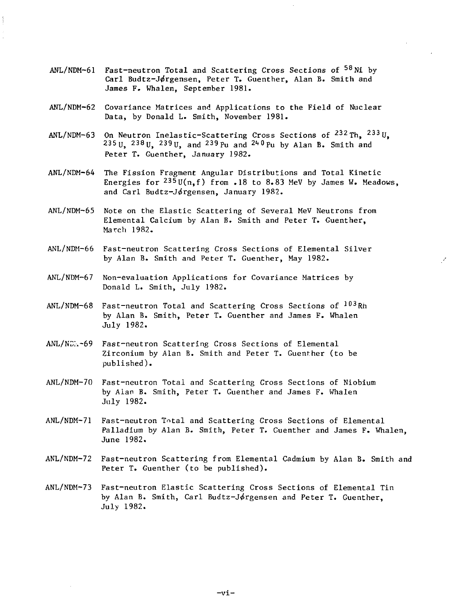- ANL/NDM<del>-</del>61 Fast-neutron Total and Scattering Cross Sections of <sup>58</sup>Ni by Carl Budtz-Jørgensen, Peter T. Guenther, Alan B. Smith and James F. Whalen, September 1981.
- ANL/NDM-62 Covariance Matrices and Applications to the Field of Nuclear Data, by Donald L. Smith, November 1981.
- <code>ANL/NDM-63 </code> On Neutron <code>Inelastic–Scattering Cross Sections</code> of  $^{232}\rm{Th}$ ,  $^{233}\rm{U}$ 235 U, 238 U, 239 U, and 239 Pu and  $240$  Pu by Alan B. Smith and Peter T. Guenther, January 1982.
- ANL/NDM-64 The Fission Fragment Angular Distributions and Total Kinetic Energies for  $^{235}$ U(n,f) from .18 to 8.83 MeV by James W. Meadows, and Carl Budtz-Jørgensen, January 1982.
- ANL/NDM-65 Note on the Elastic Scattering of Several MeV Neutrons from Elemental Calcium by Alan B. Smith and Peter T. Guenther, March 1982.
- ANL/NDM-66 Fast-neutron Scattering Cross Sections of Elemental Silver by Alan B. Smith and Peter T. Guenther, May 1982.

ý.

- ANL/NDM-67 Non-evaluation Applications for Covariance Matrices by Donald L. Smith, July 1982.
- ANL/NDM-68 Fast-neutron Total and Scattering Cross Sections of <sup>103</sup>Rh by Alan B. Smith, Peter T. Guenther and James F. Whalen July 1982.
- ANL/ND~.-69 Fast-neutron Scattering Cross Sections of Elemental Zirconium by Alan B. Smith and Peter T. Guenrher (to be published).
- ANL/NDM-70 Fast-neutron Total and Scattering Cross Sections of Niobium by Alan B. Smith, Peter T. Guenther and James F. Whalen July 1982.
- ANL/NDM-71 Fast-neutron Total and Scattering Cross Sections of Elemental Palladium by Alan B. Smith, Peter T. Guenther and James F. Whalen, June 1982.
- ANL/NDM-72 Fast-neutron Scattering from Elemental Cadmium by Alan B. Smith and Peter T. Guenther (to be published).
- ANL/NDM-73 Fast-neutron Elastic Scattering Cross Sections of Elemental Tin by Alan B. Smith, Carl Budtz-Jørgensen and Peter T. Guenther, July 1982.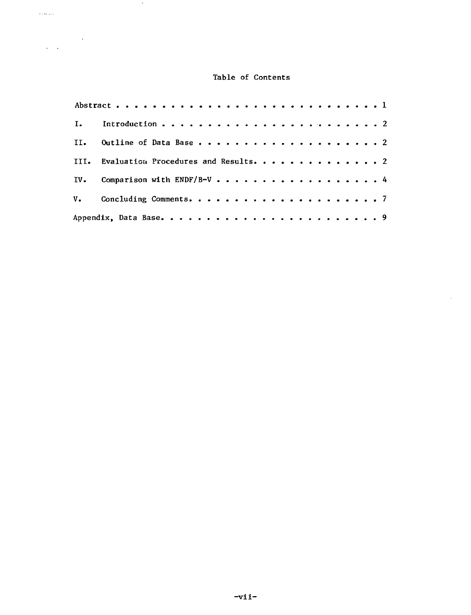# Table of Contents

 $\bar{z}$ 

| III. Evaluation Procedures and Results. 2 |
|-------------------------------------------|
| IV. Comparison with ENDF/B-V 4            |
|                                           |
|                                           |

 $\sim$ 

 $\sim$ oo giir

 $\label{eq:2} \frac{1}{\sqrt{2\pi}}\frac{1}{\sqrt{2\pi}}\frac{1}{\sqrt{2\pi}}\frac{d\omega}{2\pi}$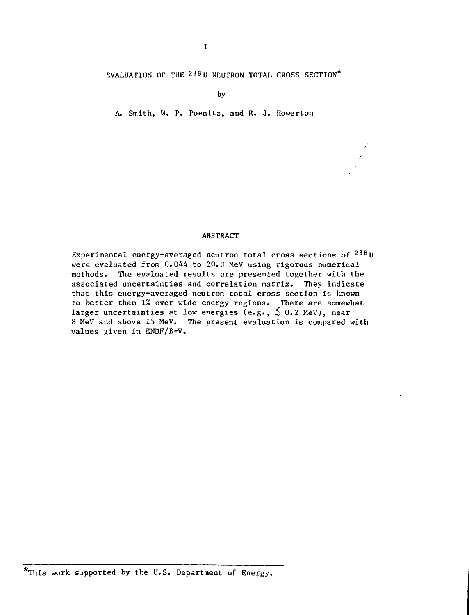EVALUATION OF THE  $^{238}$ U NEUTRON TOTAL CROSS SECTION\*

by

A. Smith, W. P. Poenitz, and R. J. Howerton

#### ABSTRACT

Experimental energy-averaged neutron total cross sections of  $^{238}$ l were evaluated from 0.044 to 20.0 MeV using rigorous numerical methods. The evaluated results are presented together with the associated uncertainties and correlation matrix. They indicate that this energy-averaged neutron total cross section is known to better than 1% over wide energy regions. There are somewhat larger uncertainties at low energies (e.g.,  $\stackrel{<}{{}_\sim}$  0.2 MeV), near 8 MeV and above 15 MeV. The present evaluation is compared with values given in ENDF/B-V.

<sup>\*</sup>This work supported by the U.S. Department of Energy.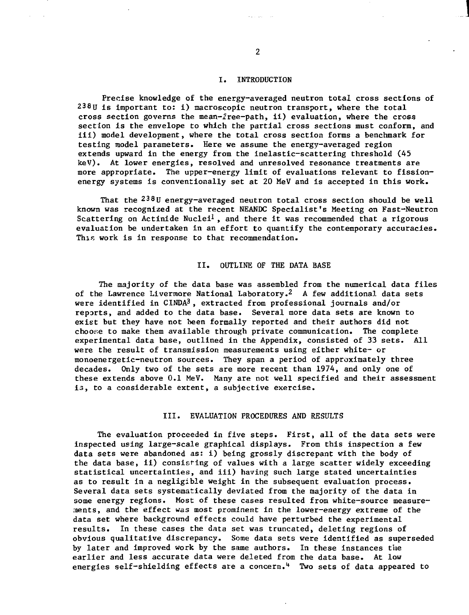#### I. INTRODUCTION

Precise knowledge of the energy-averaged neutron total cross sections of  $238$ U is important to: i) macroscopic neutron transport, where the total cross section governs the mean-free—path, ii) evaluation, where the cross section is the envelope to which the partial cross sections must conform, and iii) model development, where the total cross section forms a benchmark for testing model parameters. Here we assume the energy-averaged region extends upward in the energy from the inelastic-scattering threshold (45 keV). At lower energies, resolved and unresolved resonance treatments are more appropriate. The upper-energy limit of evaluations relevant to fissionenergy systems is conventionally set at 20 MeV and is accepted in this work.

That the  $^{238}$ U energy-averaged neutron total cross section should be well known was recognized at the recent NEANDC Specialist's Meeting on Fast-Neutron Scattering on Actinide Nuclei<sup>1</sup>, and there it was recommended that a rigorous evaluation be undertaken in an effort to quantify the contemporary accuracies. This work is in response to that recommendation.

#### II. OUTLINE OF THE DATA BASE

The majority of the data base was assembled from the numerical data files of the Lawrence Livermore National Laboratory.2 A few additional data sets were identified in CINDA<sup>3</sup>, extracted from professional journals and/or reports, and added to the data base. Several more data sets are known to exist but they have not been formally reported and their authors did not choose to make them available through private communication. The complete experimental data base, outlined in the Appendix, consisted of 33 sets. All were the result of transmission measurements using either white- or monoenergetic-neutron sources. They span a period of approximately three decades. Only two of the sets are more recent than 1974, and only one of these extends above 0.1 MeV. Many are not well specified and their assessment is, to a considerable extent, a subjective exercise.

#### III. EVALUATION PROCEDURES AND RESULTS

The evaluation proceeded in five steps. First, all of the data sets were inspected using large-scale graphical displays. From this inspection a few data sets were abandoned as: i) being grossly discrepant with the body of the data base, ii) consisting of values with a large scatter widely exceeding statistical uncertainties, and iii) having such large stated uncertainties as to result in a negligible weight in the subsequent evaluation process. Several data sets systematically deviated from the majority of the data in some energy regions. Most of these cases resulted from white-source measurements, and the effect was most prominent in the lower-energy extreme of the data set where background effects could have perturbed the experimental results. In these cases the data set was truncated, deleting regions of obvious qualitative discrepancy. Some data sets were identified as superseded by later and improved work by the same authors. In these instances the earlier and less accurate data were deleted from the data base. At low energies self-shielding effects are a concern.<sup>4</sup> Two sets of data appeared to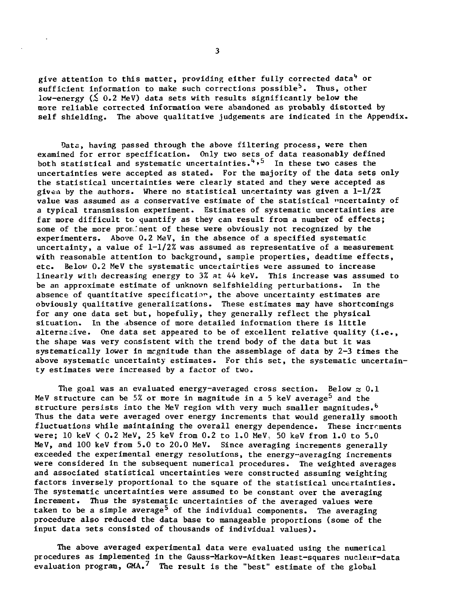give attention to this matter, providing either fully corrected data<sup>4</sup> or  $s$ ufficient information to make such corrections possible<sup>5</sup>. Thus, other low-energy  $(S_0, 2 \text{ MeV})$  data sets with results significantly below the more reliable corrected information were abandoned as probably distorted by self shielding. The above qualitative judgements are indicated in the Appendix.

Data, having passed through the above filtering process, were then examined for error specification. Only two sets of data reasonably defined both statistical and systematic uncertainties.<sup>4,5</sup> In these two cases the uncertainties were accepted as stated. For the majority of the data sets only the statistical uncertainties were clearly stated and they were accepted as given by the authors. Where no statistical uncertainty was given a 1-1/2% value was assumed as a conservative estimate of the statistical "ncertainty of a typical transmission experiment. Estimates of systematic uncertainties are far more difficult to quantify as they can result from a number of effects; some of the more prominent of these were obviously not recognized by the experimenters. Above 0.2 MeV, in the absence of a specified systematic uncertainty, a value of  $1-1/2$ % was assumed as representative of a measurement with reasonable attention to background, sample properties, deadtime effects, etc. Below 0.2 MeV the systematic uncertainties were assumed to increase linearly with decreasing energy to 3% at 44 keV. This increase was assumed to be an approximate estimate of unknown selfshielding perturbations. In the absence of quantitative specification, the above uncertainty estimates are obviously qualitative generalisations. These estimates may have shortcomings for any one data set but, hopefully, they generally reflect the physical situation. In the absence of more detailed information there is little alternative. One data set appeared to be of excellent relative quality (i.e., the shape was very consistent with the trend body of the data but it was systematically lower in magnitude than the assemblage of data by  $2-3$  times the above systematic uncertainty estimates. For this set, the systematic uncertainty estimates were increased by a factor of two.

The goal was an evaluated energy-averaged cross section. Below  $\approx 0.1$ MeV structure can be 5% or more in magnitude in a 5 keV average<sup>5</sup> and the structure persists into the MeV region with very much smaller magnitudes.<sup>6</sup> Thus the data were averaged over energy increments that would generally smooth fluctuations while maintaining the overall energy dependence. These increments were;  $10 \text{ keV} < 0.2 \text{ MeV}$ ,  $25 \text{ keV}$  from  $0.2 \text{ to } 1.0 \text{ MeV}$ ,  $50 \text{ keV}$  from  $1.0 \text{ to } 5.0$ MeV, and 100 keV from 5.0 to 20.0 MeV. Since averaging increments generally exceeded the experimental energy resolutions, the energy-averaging increments were considered in the subsequent numerical procedures. The weighted averages and associated statistical uncertainties were constructed assuming weighting factors inversely proportional to the square of the statistical uncertainties. The systematic uncertainties were assumed to be constant over the averaging increment. Thus the systematic uncertainties of the averaged values were taken to be a simple average<sup>5</sup> of the individual components. The averaging procedure also reduced the data base to manageable proportions (some of the input data sets consisted of thousands of individual values).

The above averaged experimental data were evaluated using the numerical procedures as implemented in the Gauss-Markov-Aitken least-squares nuclear-data evaluation program,  $GMA.$ <sup>7</sup> The result is the "best" estimate of the global

 $\overline{\mathbf{3}}$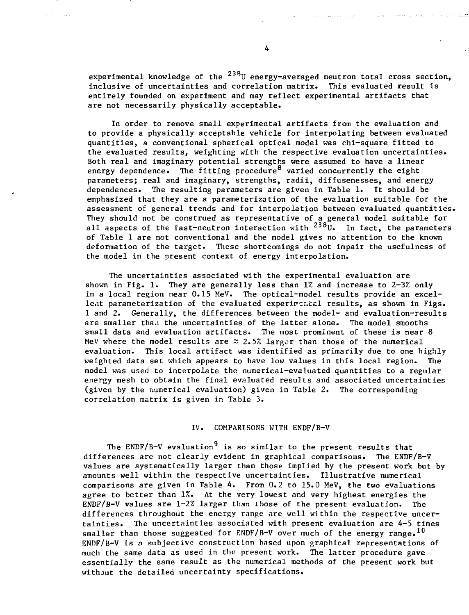experimental knowledge of the <sup>238</sup>U energy-averaged neutron total cross section**,** inclusive of uncertainties and correlation matrix. This evaluated result is entirely founded on experiment and may reflect experimental artifacts that are not necessarily physically acceptable.

In order to remove small experimental artifacts from the evaluation and to provide a physically acceptable vehicle for interpolating between evaluated quantities, a conventional spherical optical model was chi-square fitted to the evaluated results, weighting with the respective evaluation uncertainties. Both real and imaginary potential strengths were assumed to have a linear energy dependence. The fitting procedure<sup>8</sup> varied concurrently the eight parameters; real and imaginary, strengths, radii, diffusenesses, and energy dependences. The resulting parameters are given in Table 1. It should be emphasized that they are a parameterization of the evaluation suitable for the assessment of general trends and for interpolation between evaluated quantities. They should not be construed as representative of a general model suitable for all aspects of the fast-neutron interaction with  $^{238}$ U. In fact, the parameters of Table 1 are not conventional and the model gives no attention to the known deformation of the target. These shortcomings do not impair the usefulness of the model in the present context of energy interpolation.

The uncertainties associated with the experimental evaluation are shown in Fig. 1. They are generally less than 1% and increase to 2-3% only in a local region near 0.15 MeV. The optical-model results provide an excellent parameterization of the evaluated experimental results, as shown in Figs. 1 and 2. Generally, the differences between the model- and evaluation-results are smaller tham the uncertainties of the latter alone. The model smooths small data and evaluation artifacts. The most prominent of these is near 8 MeV where the model results are  $\approx$  2.5% larger than those of the numerical evaluation. This local artifact was identified as primarily due to one highly weighted data set which appears to have low values in this local region. The model was used to interpolate the numerical-evaluated quantities to a regular energy mesh to obtain the final evaluated results and associated uncertainties (given by the numerical evaluation) given in Table 2. The corresponding correlation matrix is given in Table 3.

#### IV. COMPARISONS WITH ENDF/B-V

The ENDF/B-V evaluation<sup>9</sup> is so similar to the present results that differences are not clearly evident in graphical comparisons. The ENDF/B-V values are systematically larger than those implied by the present work but by amounts well within the respective uncertainties. Illustrative numerical comparisons are given in Table 4. From 0.2 to 15.0 MeV, the two evaluations agree to better than 1%. At the very lowest and very highest energies the ENDF/B-V values are 1-2% larger than Lhose of the present evaluation. The differences throughout the energy range are well within the respective uncertainties. The uncertainties associated with present evaluation are 4-5 times smaller than those suggested for ENDF/B-V over much of the energy range.<sup>10</sup> ENDF/3-V Is a subjective construction based upon graphical representations of much the same data as used in the present work. The latter procedure gave essentially the same result as the numerical methods of the present work but without the detailed uncertainty specifications.

الأنباذ والأنابي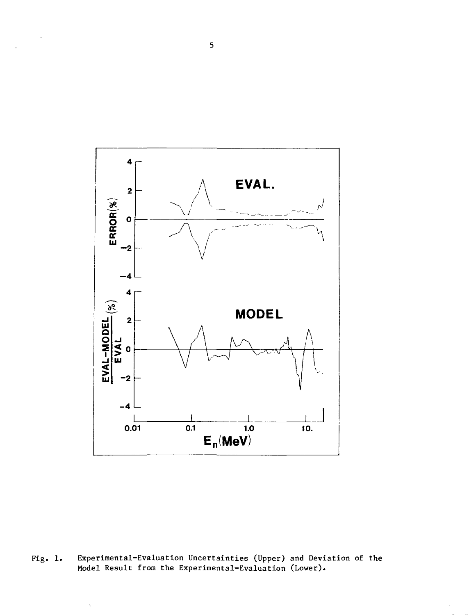

Fig. 1. Experimental-Evaluation Uncertainties (Upper) and Deviation of the Model Result from the Experimental-Evaluation (Lower).

ŀ.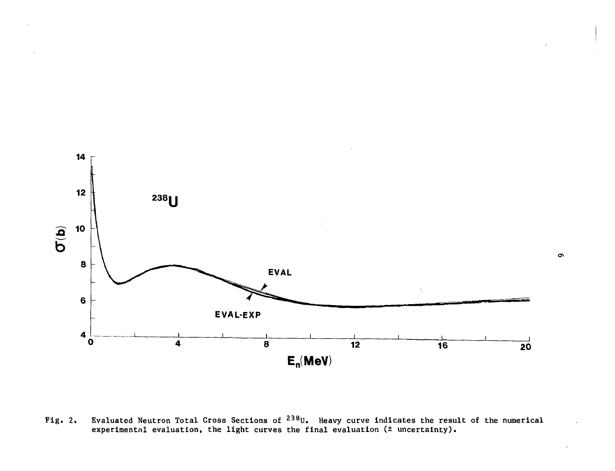

Fig. 2. Evaluated Neutron Total Cross Sections of  $^{238}$ U. Heavy curve indicates the result of the numerical experimental evaluation, the light curves the final evaluation (± uncertainty).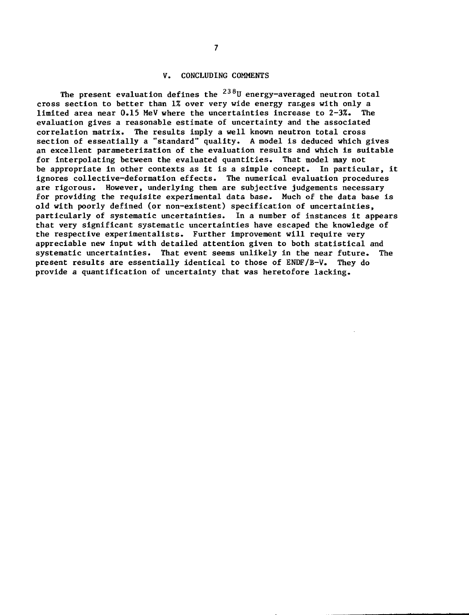## V. CONCLUDING COMMENTS

The present evaluation defines the <sup>238</sup>U energy-averaged neutron total cross section to better than 1% over very wide energy rar.ges with only a limited area near 0.15 MeV where the uncertainties increase to 2-3%. The evaluation gives a reasonable estimate of uncertainty and the associated correlation matrix. The results imply a well known neutron total cross section of essentially a "standard" quality. A model is deduced which gives an excellent parameterization of the evaluation results and which is suitable for interpolating between the evaluated quantities. That model may not be appropriate in other contexts as it is a simple concept. In particular, it ignores collective-deformation effects. The numerical evaluation procedures are rigorous. However, underlying them are subjective judgements necessary for providing the requisite experimental data base. Much of the data base is old with poorly defined (or non-existent) specification of uncertainties, particularly of systematic uncertainties. In a number of instances it appears that very significant systematic uncertainties have escaped the knowledge of the respective experimentalists. Further improvement will require very appreciable new input with detailed attention given to both statistical and systematic uncertainties. That event seems unlikely in the near future. The present results are essentially identical to those of ENDF/B-V. They do provide a quantification of uncertainty that was heretofore lacking.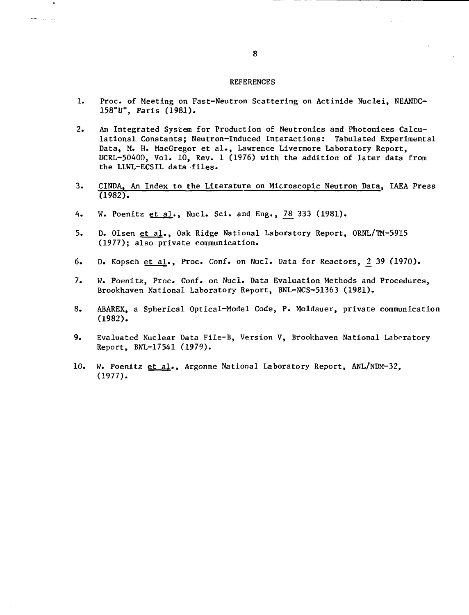#### REFERENCES

- 1. Proc. of Meeting on Fast-Neutron Scattering on Actinide Nuclei, NEANDC-158"U", Paris (1981).
- 2. An Integrated System for Production of Neutronics and Photonices Calculational Constants; Neutron-Induced Interactions: Tabulated Experimental Data, M. H. MacGregor et al., Lawrence Livermore Laboratory Report, UCRL-50400, Vol. 10, Rev. 1 (1976) with the addition of later data from the LLWL-ECSIL data files.
- 3. CINDA, An Index to the Literature on Microscopic Neutron Data, IAEA Press (1982).
- 4. W. Poenitz et al., Nucl. Sci. and Eng., 78 333 (1981).
- 5. D. Olsen et al.. Oak Ridge National Laboratory Report, ORNL/TM-5915 (1977); also private communication.
- 6. D. Kopsch et al., Proc. Conf. on Nucl. Data for Reactors, 2 39 (1970).
- 7. W. Poenitz, Proc. Conf. on Nucl. Data Evaluation Methods and Procedures, Brookhaven National Laboratory Report, BNL-NCS-51363 (1981).
- 8. ABAREX, a Spherical Optical-Model Code, P. Moldauer, private communication (1982).
- 9. Evaluated Nuclear Data File-B, Version V, Brookhaven National Laboratory Report, BNL-17541 (1979).
- 10. W. Poenitz et al.. Argonne National Laboratory Report, ANL/NDM-32, (1977).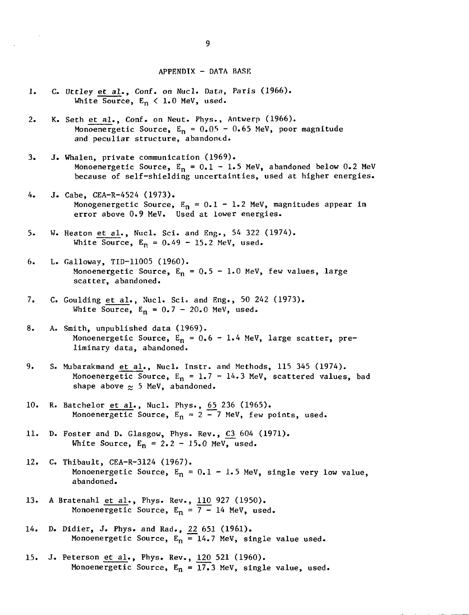#### APPENDIX - DATA BASE

- 1. C. Uttley et al., Conf. on Nucl. Data, Paris (1966). White Source,  $E_n < 1.0$  MeV, used.
- 2. K. Seth et al., Conf. on Neut. Phys., Antwerp (1966). Monoenergetic Source,  $E_n = 0.05 - 0.65$  MeV, poor magnitude and peculiar structure, abandoned.
- 3. J. Whalen, private communication (1969). Monoenergetic Source,  $E_n = 0.1 - 1.5$  MeV, abandoned below 0.2 MeV because of self-shielding uncertainties, used at higher energies.
- 4. J. Cabe, CEA-R-4524 (1973). Monogenergetic Source,  $E_n = 0.1 - 1.2$  MeV, magnitudes appear in error above 0.9 MeV. Used at lower energies.
- 5. W. Heaton et al., Nucl. Sci. and Eng., 54 322 (1974). White Source,  $E_R = 0.49 - 15.2$  MeV, used.
- 6. L. Galloway, TID-11005 (1960). Monoenergetic Source,  $E_n = 0.5 - 1.0$  MeV, few values, large scatter, abandoned.
- 7. C. Goulding et al., Nucl. Sci. and Eng., 50 242 (1973). White Source,  $E_n = 0.7 - 20.0$  MeV, used.
- 8. A. Smith, unpublished data (1969). Monoenergetic Source,  $E_n = 0.6 - 1.4$  MeV, large scatter, preliminary data, abandoned.
- 9. S. Mubarakmand et al., Nucl. Instr. and Methods, 115 345 (1974). Monoenergetic Source,  $E_n = 1.7 - 14.3$  MeV, scattered values, bad shape above  $\approx$  5 MeV, abandoned.
- 10. R. Batchelor <u>et al</u>., Nucl. Phys., <u>65</u> 236 (1965). Monoenergetic Source,  $\texttt{E}_{\texttt{n}}$  = 2 – 7 MeV, few points, used.
- 11. D. Foster and D. Glasgow, Phys. Rev., C3 604 (1971). White Source,  $E_n = 2.2 - 15.0$  MeV, used.
- 12. C. Thibault, CEA-R-3124 (1967). Monoenergetic Source,  $E_n = 0.1 - 1.5$  MeV, single very low value, abandoned.
- 13. A Bratenahl et al., Phys. Rev., 110 927 (1950). Monoenergetic Source,  $E_n = 7 - 14$  MeV, used.
- 14. D. Didier, J. Phys. and Rad., 22 651 (1961). Monoenergetic Source,  $E_n = 14.7$  MeV, single value used.
- 15. J. Peterson et al., Phys. Rev., 120 521 (1960). Monoenergetic Source,  $E_n = 17.3$  MeV, single value, used.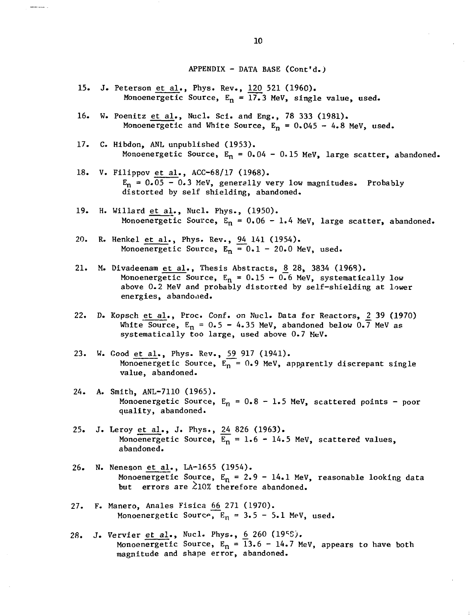APPENDIX - DATA BASE (Cont'd.)

- 15. J. Peterson et al., Phys. Rev., 120 521 (1960). Monoenergetic Source,  $E_n = 17.3$  MeV, single value, used.
- 16. W. Poenitz et al., Nucl. Sci. and Eng., 78 333 (1981). Monoenergetic and White Source,  $E_n = 0.045 - 4.8$  MeV, used.
- 17. C. Hibdon, ANL unpublished (1953). Monoenergetic Source,  $E_n = 0.04 - 0.15$  MeV, large scatter, abandoned.
- 18. V. Filippov et al., ACC-68/17 (1968).  $E_n = 0.05 - 0.3$  MeV, generally very low magnitudes. Probably distorted by self shielding, abandoned.
- 19. H. Willard et al., Nucl. Phys., (1950). Monoenergetic Source,  $E_n = 0.06 - 1.4$  MeV, large scatter, abandoned.
- 20. R. Henkel et al., Phys. Rev., 94 141 (1954). Monoenergetic Source,  $E_n = 0.1 - 20.0$  MeV, used.
- 21. M. Divadeenam et al., Thesis Abstracts, 8 28, 3834 (1968). Monoenergetic Source,  $E_n = 0.15 - 0.6$  MeV, systematically low above 0.2 MeV and probably distorted by self-shielding at lower energies, abandoned.
- 22. D. Kopsch et al., Proc. Conf. on Nucl. Data for Reactors, 2 39 (1970) White Source,  $E_n = 0.5 - 4.35$  MeV, abandoned below 0.7 MeV as systematically too large, used above 0.7 MeV.
- 23. W. Good et al., Phys. Rev., 59 917 (1941). Monoenergetic Source,  $E_n = 0.9$  MeV, apparently discrepant single value, abandoned.
- 24. A. Smith, ANL-7110 (1965). Monoenergetic Source,  $E_n = 0.8 - 1.5$  MeV, scattered points - poor quality, abandoned.
- 25. J. Leroy et al., J. Phys., 24 826 (1963). Monoenergetic Source,  $\overline{E_n} = 1.6 - 14.5$  MeV, scattered values, abandoned.
- 26. N. Neneson et al., LA-1655 (1954). Monoenergetic Source,  $E_n = 2.9 - 14.1$  MeV, reasonable looking data but errors are  $\lambda$ 10% therefore abandoned.
- 27. F. Manero, Anales Fisica 66 271 (1970). Monoenergetic Source,  $E_n = 3.5 - 5.1$  MeV, used.
- 28. J. Vervier et al., Nucl. Phys., 6 260 (1958). Monoenergetic Source, E<sub>n</sub> = 13.6 - 14.7 MeV, appears to have both magnitude and shape error, abandoned.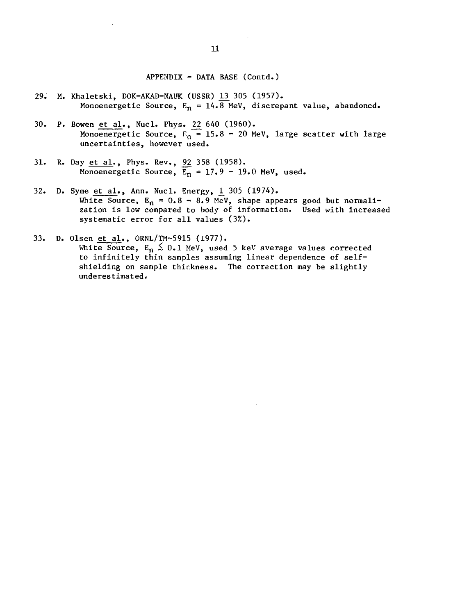APPENDIX - DATA BASE (Contd.)

- 29. M. Khaletski, DOK-AKAD-NAUK (USSR) 13 305 (1957). Monoenergetic Source,  $E_n = 14.8$  MeV, discrepant value, abandoned.
- 30. P. Bowen et al., Nucl. Phys. 22 640 (1960). Monoenergetic Source,  $F_n = 15.8 - 20$  MeV, large scatter with large uncertainties, however used.
- 31. R. Day <u>et al</u>., Phys. Rev., 9<u>2</u> 358 (1958). Monoenergetic Source,  $\texttt{E}_{\texttt{n}}$  = 17.9 - 19.0 MeV, used.
- 32. D. Syme et al., Ann. Nucl. Energy, 1 305 (1974). White Source,  $\texttt{E}_{\textbf{n}}$  = 0.8 - 8.9 MeV, shape appears good but normalization is low compared to body of information. Used with increased systematic error for all values (3%).
- 33. D. Olsen et al., ORNL/TM-5915 (1977). White Source,  $E_n \leq 0.1$  MeV, used 5 keV average values corrected to infinitely thin samples assuming linear dependence of selfshielding on sample thickness. The correction may be slightly  $underestimated.$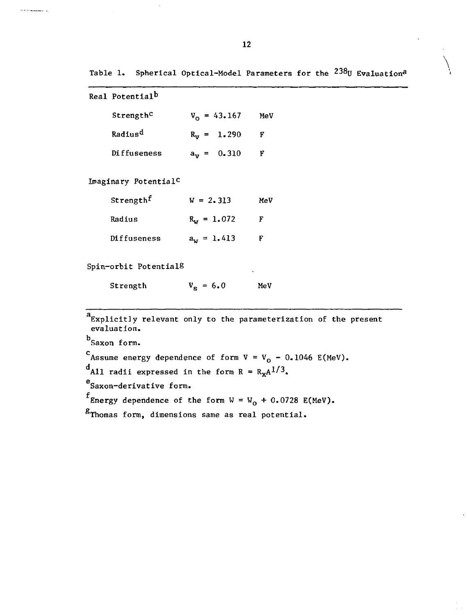| Real Potential <sup>b</sup>      |                   |     |
|----------------------------------|-------------------|-----|
| Strength <sup>c</sup>            | $V_0 = 43.167$    | MeV |
| Radius <sup>d</sup>              | $R_v = 1.290$     | F   |
| Diffuseness                      | $a_v = 0.310$     | F   |
| Imaginary Potential <sup>C</sup> |                   |     |
| Strengthf                        | $W = 2.313$       | MeV |
| Radius                           | $R_{w} = 1.072$   | F   |
| Diffuseness                      | $a_w = 1.413$     | F   |
| Spin-orbit Potential8            | ٠                 |     |
| Strength                         | $V_{\rm s} = 6.0$ | MeV |

Explicitly relevant only to the parameterization of the present evaluation. b<br>Saxon form.  $c_{\text{Assume energy dependence of form V = V}_0 - 0.1046 E(MeV)$ .  $d_{\text{A11}}$  radii expressed in the form R =  $R_{\text{x}}A^{1/3}$ . Saxon-derivative form.  $f$  Energy dependence of the form  $W = W_0 + 0.0728$  E(MeV).  ${}^{\text{g}}$ Thomas form, dimensions same as real potential.

.<br>Profil de t<del>ro</del>umentante (n. 1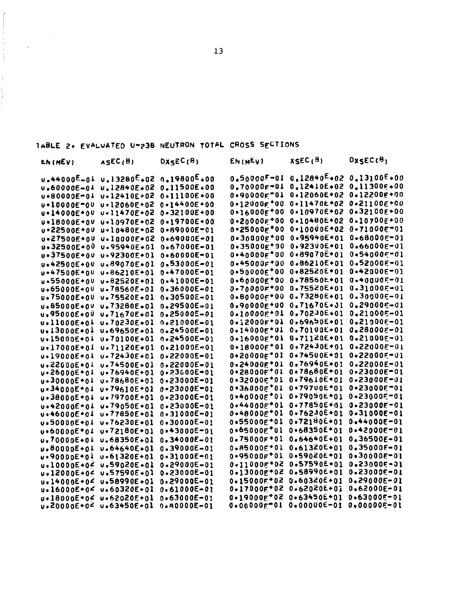| TABLE 2. EVALUATED U=238 NEUTRON TOTAL CROSS SECTIONS |  |  |  |  |  |  |
|-------------------------------------------------------|--|--|--|--|--|--|
|-------------------------------------------------------|--|--|--|--|--|--|

 $\frac{1}{2} \sum_{i=1}^{n} \frac{1}{i} \sum_{j=1}^{n} \frac{1}{j} \sum_{j=1}^{n} \frac{1}{j} \sum_{j=1}^{n} \frac{1}{j} \sum_{j=1}^{n} \frac{1}{j} \sum_{j=1}^{n} \frac{1}{j} \sum_{j=1}^{n} \frac{1}{j} \sum_{j=1}^{n} \frac{1}{j} \sum_{j=1}^{n} \frac{1}{j} \sum_{j=1}^{n} \frac{1}{j} \sum_{j=1}^{n} \frac{1}{j} \sum_{j=1}^{n} \frac{1}{j} \sum_{j=1}^{n$ 

 $\mathcal{L}^{\pm}$ 

| <b>ENIMEVI</b>           | ASEC <sub>(B)</sub>      | DXSEC(B)          | EN(MEV)                       | <b>XSEC(B)</b>    | DxsEC( <sup>8</sup> ) |
|--------------------------|--------------------------|-------------------|-------------------------------|-------------------|-----------------------|
| u.44000 <sup>E</sup> -0↓ | u.13280 <sup>E</sup> +02 | $0.19800E + 00$   | 0.50000F-01                   | $0.12840^{L}$ +02 | $0.13100E+00$         |
| u.60000E-04              | u.12840E+02              | 0.11500E+00       | $0.70000f - 01$               | $0.12410E*02$     | $0.11300F*00$         |
| u=80009E-01              | u.12410E+02              | $0 - 11100E + 00$ | $0.900005 - 01$               | 0.12060E+02       | $0.12200E+00$         |
| <b>u</b> •10000E=00      | u.12060E+02              | $0.14400E+00$     | $0.12000$ $F$ <sup>+</sup> 00 | $0.11470E+02$     | $0 - 21100E + 00$     |
| <b>u•14000E+0V</b>       | $v - 11470E - 02$        | 0.32100E+00       | $0.16000E^{*00}$              | $0.10970E+02$     | $0.32100E+00$         |
| <b>u</b> •18000E+0V      | $v - 10970E + 02$        | $0 - 19700E + 00$ | $0 - 20000F + 00$             | 0.10480E+02       | $0.10700E+0.0$        |
| <b>u•22500E+0∪</b>       | u.10480E+02              | $0 * 89000E = 01$ | $0.250005*00$                 | 0.10000E-02       | $0 - 71000E - 01$     |
| <b>u•27500E+04</b>       | $v - 10000E + 02$        | $0.69000E - 01$   | $0 - 30000F + 00$             | $0.95940E+01$     | $0.68000F - 01$       |
| <b>u.32500E+00</b>       | $0.95940E+01$            | $0.67000E - 01$   | $0.35000E^{*90}$              | $0.92300E+01$     | $0.66000E - 01$       |
| <b>u•37500E+0V</b>       | $0.92300E*01$            | $0 - 60000E - 01$ | $0*40000E*00$                 | 0.89070E 01       | 0.54000E-01           |
| u.42500E+0V              | $v.89070E + 01$          | 0.53000E-01       | $0.45000$ $F$ *00             | 0.86210E+01       | $0.52000E - 01$       |
| u+47500E+0U              | $v - 86210E + 01$        | $0.47000E - 01$   | 0.50000F <sup>+</sup> 00      | 0.82520E 01       | $0.42000E - 01$       |
| $u - 55000E + 0V$        | $u - 82520E + 01$        | $0.41000E - 01$   | $0.60000E*00$                 | 0.78560E+01       | $0 - 400005 - 01$     |
| u.65000E+0U              | $v - 78560E + 01$        | $0.36000E - 01$   | $0 - 70000F + 00$             | 0.75520E+01       | $0.31000E - 01$       |
| $0.75000E+00$            | u.75520E+01              | 0.30500E-01       | $0.800006*00$                 | $0.73280E+01$     | 0.300005-01           |
| $v.85000E + 0V$          | $v.73280E + 01$          | $0.29500E - 01$   | $0.90000F+00$                 | $0.71670E + 31$   | $0.290006 - 01$       |
| $v,95000E*00$            | $0.71670E + 01$          | $0.250005 - 01$   | $0.10000E*01$                 | $0.70230E+01$     | $0.21000E - 01$       |
| $0.11000E + 0.1$         | $0.70230E+01$            | $0.21000E - 01$   | $0.12000F*01$                 | $0.69650E+01$     | $0.21000E - 01$       |
| $0.13000E + 0.1$         | u.69650E+01              | $0.24500E - 01$   | $0.14000E*01$                 | $0.70100E+01$     | 0.28000E-01           |
| $v*15000E*01$            | $0.70100E+01$            | n.24500E-01       | $0*16000f*01$                 | $0.71120E+01$     | $0 - 21000E - 01$     |
| $v*17000E*01$            | $v.71120E+01$            | $0.21000E - 01$   | $0*18000f*01$                 | $0.72430E + 01$   | $0.22000E - 01$       |
| $v - 19000E + 01$        | $u.72430F + 01$          | $0.22000E - 01$   | $0*20000f*01$                 | $0.74500E + 01$   | $0 - 22000F - 01$     |
| u.22000E+04              | u.74500E+01              | $0.22000E - 01$   | $0.24000E+01$                 | $0.76940E+01$     | $0.22000E - 01$       |
| u•26000E+0↓              | u.76940E+01              | 0.23000E-01       | $0*280005*01$                 | $0.78680E + 01$   | $0 - 23000E - 01$     |
| u.30000E+01              | u.78680E+01              | 0•23000E-01       | $0*320005*01$                 | $0.79610E+01$     | $0 - 23000E - 01$     |
| $0.34000E + 0.1$         | $0.79610E+01$            | $0.23000E = 01$   | $0.36000E^{*}01$              | 0.79700E*01       | $0 - 23000E - 01$     |
| $0 - 38000E + 0.1$       | $u * 79700E * 01$        | $0.23000E - 01$   | $0*40000E*01$                 | $0.79050E+01$     | $0 - 23000E = 01$     |
| u.42000E+01              | $v - 79050E + 01$        | $0.23000E - 01$   | $0.440005*01$                 | 0-77850E+01       | $0 - 23000E - 01$     |
| u.46000E+04              | u.77850E+01              | $0.31000E - 01$   | $0.48000F^{*}01$              | $0.76230E+01$     | $0 - 31000E - 01$     |
| v.50000E+01              | u.76230E+01              | $0 - 30000E - 01$ | 0.55000E*01                   | $0.72180E+01$     | $0.44000E - 01$       |
| u.60000E*01              | $v*72180E*01$            | $0.43000E - 01$   | $0.65000E^*01$                | $0*68350E*01$     | $0.42000E - 01$       |
| $0.70000E + 0.1$         | u.68350E+01              | $0.34000E - 01$   | $0.75000F+01$                 | $0.64640E+01$     | $0.36500E - 01$       |
| u.80000E+01              | v.64640E+01              | $0.39000E - 01$   | $0.85000F*01$                 | $0.61320E+01$     | $0.35000E - 01$       |
| u.90000E+01              | $v - 61320E + 01$        | $0 - 31000E - 01$ | $0.950005*01$                 | $0*59020E*01$     | $0 - 30000E - 01$     |
| $v.10000E + 02$          | $v.59020E + 01$          | $0.29000E - 01$   | $0.11000F*02$                 | 0.57590E+01       | $0.23000E - 01$       |
| $v.12000E + 04$          | $v.57590E*01$            | 0.23000E-01       | $0.13000E^{*02}$              | 0.58990E+01       | $0.23000E - 01$       |
| U.14000E+0<              | u.58990E+01              | $0.29000E - 01$   | $0.15000F$ <sup>+02</sup>     | $0.60320E+01$     | $0.29000E - 01$       |
| $0.16000E + 0$           | u.60320E+01              | 0.61000E-01       | $0 - 17000E + 02$             | $0.62020E+01$     | $0.62000E - 01$       |
| u.18000E+0<              | u.62020E+01              | $0.63000E - 01$   | $0 - 19000E + 02$             | $0.63450E+01$     | $0.63000E - 01$       |
| $u_2$ 2000 $0E+0$        | u.63450E+01              | $0.80000E - 01$   | $0.060005 - 01$               | $0.00000E - 01$   | 0.00000E-01           |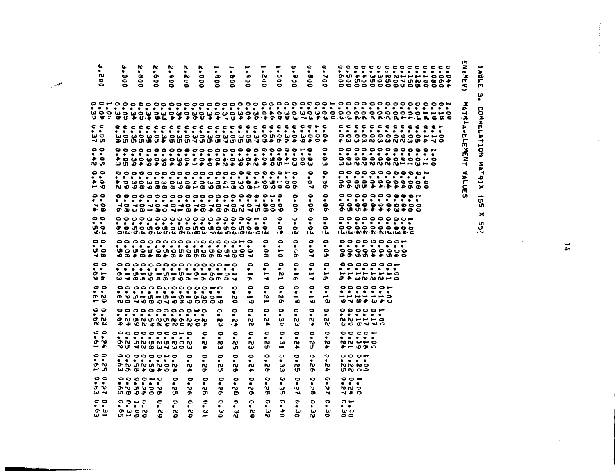| u<br>$\bullet$<br>w<br>0<br>0                                                                                                                                                                                       | u<br>٠<br>۰<br>$\bullet$                                                                                                          | w<br>۰<br>$\bullet$                                                                                                                                                                                                                                                                                                      | ĸ<br>۰<br>۰<br>۰          | ĸ<br>٠<br>۰<br>۰  | v.<br>٠<br>w<br>c                       | ĸ<br>٠<br>$\bullet$<br>۰                       | ٠<br>$\bullet$<br>۰<br>$\bullet$         | $\bullet$<br>۰<br>۰                                           | $\bullet$<br>۰<br>$\bullet$<br>۰                    | -<br>٠<br>w<br>۰<br>Θ                                                 | ٠<br>$\bullet$<br>۰<br>۰<br>۰                               | 0<br>٠<br>∙<br>$\bullet$                                  | c<br>$\bullet$<br>œ<br>$\bullet$                                        | e<br>$\bullet$<br>⇥<br>$\bullet$<br>o                                        | c o c c c c c c c c c c c c<br>.<br>$\circ\circ\bullet\circ\bullet\circ\bullet\circ\bullet\circ\bullet\bullet\bullet\bullet$<br>$\circ \circ \circ \circ \circ \circ \circ \circ \circ \circ \circ \circ$ |                                                                                                            |  |  |  |  | m<br>2<br>$\tilde{\mathbf{r}}$<br>w<br>⋖                              |
|---------------------------------------------------------------------------------------------------------------------------------------------------------------------------------------------------------------------|-----------------------------------------------------------------------------------------------------------------------------------|--------------------------------------------------------------------------------------------------------------------------------------------------------------------------------------------------------------------------------------------------------------------------------------------------------------------------|---------------------------|-------------------|-----------------------------------------|------------------------------------------------|------------------------------------------|---------------------------------------------------------------|-----------------------------------------------------|-----------------------------------------------------------------------|-------------------------------------------------------------|-----------------------------------------------------------|-------------------------------------------------------------------------|------------------------------------------------------------------------------|-----------------------------------------------------------------------------------------------------------------------------------------------------------------------------------------------------------|------------------------------------------------------------------------------------------------------------|--|--|--|--|-----------------------------------------------------------------------|
| ሆ ሆ። ዕህ ቅህ ቅ ሙቪ ቅ ቅ ቅ ወ ሆ ቅ ቀ ላ ሆ ቅ ቀ ወ ቀ ወ ወ ሆ ሙ ሙ ቅ ሠ ሩ ሙ ሙ ኬ ኬ ኬ ኬ ኬ ኬ ኬ ኬ ኬ ኬ ኬ ኬ ኬ ኬ ጨ ድ ድ<br>c c<br>$\bullet\quad\bullet$<br>$\omega$ $\Omega$<br>ᅯᄢ<br>00<br>$\bullet\quad\bullet$<br>$\bullet\circ$<br>תונח | . .<br>wo wo wo wo wo wo wo wo wo wo wo wo wo<br>°°°°°°°°°°°°°°°°°°°°°°°°°°<br>UU O + O + O + O + O + O + N + O + N + O U O U O W |                                                                                                                                                                                                                                                                                                                          |                           | $\bullet$         |                                         | .                                              |                                          |                                                               |                                                     | . .                                                                   |                                                             |                                                           | .                                                                       | $\bullet\bullet$<br>0<br>$\bullet$<br>$\bullet$<br>ω                         | c c c c c c c c c c c c r<br>.<br>もいうこういうこうじょう<br>°°°°°°°°°°°°<br>. <i>.</i><br>$0 0 0 0 0 0 0 0 0 0 0 0 0 0$<br>$\omega$ $\omega$ n $\omega$ n $\omega$ n $\omega$ n $\omega$ n $\omega$                 |                                                                                                            |  |  |  |  | 孟<br>►<br>⊣<br>۰ź,<br>٠<br>Ţ.<br>٠<br>m<br>r<br>m<br>孓<br>m<br>z<br>4 |
| $\bullet$<br>$\bullet$<br>ہ م<br>⊶ o<br>$\circ$<br>$\bullet\quad \bullet$<br>$\sim$<br>دی جو                                                                                                                        | * 3 WO WO WO WO # 3 WO # 3 WO # 3 WH 9 3<br>ao do do do do do do do do do do                                                      |                                                                                                                                                                                                                                                                                                                          |                           |                   |                                         |                                                |                                          |                                                               |                                                     |                                                                       |                                                             | 0<br>$\bullet$<br>$\bullet$<br>$\sim$                     | ۰<br>$\circ$<br>↵<br>۰<br>$\bullet$<br>$\bullet$<br>œ                   | $\bullet$<br>٠<br>$\Rightarrow$<br>۰<br>$\bullet$<br>$\bullet$<br>۰<br>ີ     | $\circ\circ\circ\circ\circ\circ\circ\circ\bullet$<br>.<br>,,,,,,,,,,,,<br>ው ው መ ቀ ቅ ቅ ቅ ቅ ው ው ወ<br>0000000000<br>.<br>の い い や や や や い や の つ                                                               |                                                                                                            |  |  |  |  | $\tilde{}$<br>η<br>m<br>ഗ                                             |
| 00<br>$\bullet$ $\bullet$<br>ဖ္၊ ဇ<br>ت ک<br>$\circ$<br>$\bullet$ $\bullet$<br>un a<br>ם ו-                                                                                                                         | . <b>. <i>.</i> .</b>                                                                                                             | OIL UIL OILUTE OILIDE ALUQUE OILIDE<br>U D D D D D D D D D D D D D D J D O J                                                                                                                                                                                                                                             |                           |                   |                                         |                                                |                                          |                                                               |                                                     | 0<br>$\bullet$<br>œ                                                   | ۰<br>$\bullet$<br>د .<br>۰<br>٠<br>ىم<br>$\bullet$          | $\bullet$<br>٠<br>$\bullet$<br>١W<br>۰<br>٠<br>e<br>o.    | $\bullet$<br>٠<br>$\bullet$<br>ما ۱<br>۰<br>$\bullet$<br>$\bullet$<br>⊣ | $\bullet$<br>$\bullet$<br>نما ا<br>$\bullet$<br>$\bullet$<br>$\bullet$<br>s. | $^{°}$<br>. . <b>.</b><br>。。。。。。。。。。。<br>けいじ かん かわいいじゃこ<br>000000000<br>.<br>000000000<br>0.9999999000                                                                                                    |                                                                                                            |  |  |  |  |                                                                       |
| $\circ$ $\circ$<br>$\bullet$<br>$\bullet$ $\mathbf -$<br>ゃっ<br>00<br>$\bullet$<br>റെ<br>--                                                                                                                          | . <i>. .</i><br><b>U -J B J D J B J Q D - D O O O - J</b><br>. <b>.</b><br><b></b>                                                | 00000000000000000<br>$Q \leftarrow Q \leftarrow Q \leftarrow Q \leftarrow Q \leftarrow Q \leftarrow Q \leftarrow Q \leftarrow Q$<br><b>NO 700070000000</b>                                                                                                                                                               |                           |                   |                                         |                                                |                                          | $\bullet$<br>٠<br>n.<br>-                                     | $\bullet$<br>٠<br>مىو<br>J.<br>۰<br>٠<br>مسو<br>٠   | ۰<br>ىمە<br>⊣<br>$\bullet$<br>n.<br>÷                                 | ۰<br>٠<br>w<br>مسر<br>$\bullet$<br>۰<br>N<br>ው              | $\bullet$<br>٠<br>پ<br>ው<br>۰<br>٠<br>$\blacksquare$<br>٠ | ۰<br>٠<br>مسو<br>⊣<br>۰<br>$\bullet$<br>$\blacksquare$<br>۰             | ۰<br>$\bullet$<br>سە<br>ை<br>$\bullet$<br>$\bullet$<br>$\rightarrow$<br>œ    | .<br>.<br>ふゎwwww~o<br>--------                                                                                                                                                                            | 0000000<br>.<br>やしかきのう                                                                                     |  |  |  |  |                                                                       |
| 00<br>. .<br>ດ N<br>n u<br>c o<br>. .<br>o N<br>⊶ →                                                                                                                                                                 | $\begin{array}{ccc} \circ \circ \circ \circ \circ \circ \circ \circ \circ \circ \circ \circ \end{array}$<br>.                     | .<br>+ + ON ON CN CN C +<br>.<br><b>ON UN UN UN ON</b><br><b>NU 7W 8W 7W 0W</b>                                                                                                                                                                                                                                          |                           |                   |                                         | -<br>w<br>۰                                    | $\bullet$<br>٠<br>w<br>u<br>0<br>w<br>ىئ | 0<br>w<br>ه.<br>$\bullet$<br>٠<br>w<br>ال                     | $\bullet$<br>۰<br>N<br>w<br>۰<br>٠<br>N<br>ω        | ۰<br>N.<br>۰<br>۰<br>w<br>U.                                          | $\bullet$<br>ω<br>c<br>۰<br>ىيا<br>$\overline{\phantom{a}}$ | $\bullet$<br>٠<br>w<br>u<br>۰<br>٠<br>w<br>۰              | $\bullet$<br>٠<br>N)<br>٠<br>$\bullet$<br>٠<br><b>N</b><br>U.           | $\bullet$<br>w<br>w<br>0<br>$\sim$<br>۰                                      | 00000<br>$N N - r - c$                                                                                                                                                                                    | .<br><b>UOTVVC</b><br>$0000 +$<br>.<br>$N N \sim 0$<br>ە دە ئە ب                                           |  |  |  |  |                                                                       |
| 00<br>. .<br>o N<br>س سم<br>$\circ$ $\circ$<br>$\bullet\quad \bullet$<br>っぃ<br>یہ تر؛                                                                                                                               |                                                                                                                                   | .<br><b>ONUNUNON</b><br>$\boldsymbol{\omega}$ $\boldsymbol{\omega}$ $\boldsymbol{\omega}$ $\boldsymbol{\star}$ $\boldsymbol{\omega}$ $\boldsymbol{\star}$ $\boldsymbol{\omega}$ $\boldsymbol{\star}$<br>$\begin{array}{cccccccccccccc} \circ & \circ & \circ & \circ & \circ & \circ & \circ \end{array}$<br>.<br>いっしいつい |                           | 0<br>٠<br>M<br>tл | 0<br>N<br>۰<br>$\bullet$<br>٠<br>v<br>ຶ | 0<br>N<br>۰<br>$\circ$<br>$\bullet$<br>'N<br>∞ | 0<br>N<br>U.<br>۰<br>٠<br>w<br>o         | ۰<br>$\bullet$<br>w<br>۰<br>$\bullet$<br>$\bullet$<br>n.<br>¢ | $\bullet$<br>٠<br>w<br>۰<br>۰<br>٠<br><b>N</b><br>۰ | $\bullet$<br>$\bullet$<br>ຆ<br>۰<br>$\bullet$<br>$\bullet$<br>J.<br>œ | ۰<br>٠<br>ω<br>ω<br>۰<br>٠<br>لما<br>u۱                     | $\bullet$<br>٠<br>w<br>u۱<br>۰<br>$\bullet$<br>ΛU.<br>⇥   | $\circ$<br>٠<br>N<br>۰<br>۰<br>٠<br>נה<br>∞                             | $\bullet$<br>N<br>۰<br>۰<br>'N.<br>⇥                                         | $\begin{array}{ccccccccccccccccc} \bullet & \bullet & \bullet & \bullet & \bullet \end{array}$                                                                                                            | $\circ \circ \circ \mathord{\mathsf{H}}$<br>.<br><b>NNN0</b><br>いんつつ<br>$\circ \circ \sim$<br>כ מיט<br>っすい |  |  |  |  |                                                                       |
| ေ စ<br>$\cdots$<br>ں ہ<br>سر س                                                                                                                                                                                      | $\bullet \bullet \bullet \bullet$<br>.<br><b>のんとい</b><br>$\sigma \sim -\sigma$                                                    |                                                                                                                                                                                                                                                                                                                          | e<br>$\bullet$<br>n.<br>۰ | ۰<br>v.<br>۰o     | $\bullet$<br>v.<br>o                    | $\bullet$<br>$\bullet$<br>ω<br>۔               | ۰<br>٠<br>U.<br>0                        | $\bullet$<br>ω<br>W                                           | $\circ$<br>$\bullet$<br>w<br>۰                      | ۰<br>$\bullet$<br>ω<br>w                                              | ۰<br>٠<br>۰                                                 | ÷<br>$\bullet$<br>w<br>0                                  | 0<br>٠<br>ں<br>'N.                                                      | $\bullet$<br>٠<br>w<br>0                                                     | $\circ$ $-$<br>$\bullet$<br>ພຕ<br>00                                                                                                                                                                      |                                                                                                            |  |  |  |  |                                                                       |

العجائية

 $\sim$ 

IABLE 3. COMMELATION MATRIX (55 X 55)

 $\sim$ 

 $14$ 

 $\begin{array}{c} \bullet \\ \bullet \\ \bullet \end{array}$  $\frac{1}{2}$ 

 $\hat{\epsilon}$  $\begin{array}{c} \frac{1}{2} \\ \frac{1}{2} \end{array}$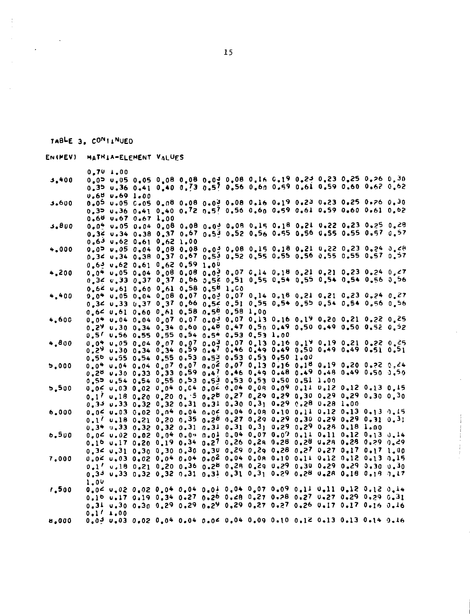|       |                  | 0.701.00              |                                              |  |  |                                                                                                                                                |  |  |  |
|-------|------------------|-----------------------|----------------------------------------------|--|--|------------------------------------------------------------------------------------------------------------------------------------------------|--|--|--|
| 3.400 |                  |                       |                                              |  |  | 0.05 0.05 0.05 0.08 0.08 0.09 0.08 0.16 0.19 0.29 0.23 0.25 0.26 0.30                                                                          |  |  |  |
|       |                  |                       |                                              |  |  | 0.35 0.36 0.41 0.40 0.73 0.57 0.56 0.60 0.59 0.61 0.59 0.60 0.62 0.62                                                                          |  |  |  |
|       |                  | <b>U.65 U.69 1.00</b> |                                              |  |  |                                                                                                                                                |  |  |  |
| 3.600 |                  |                       |                                              |  |  | 0.05 0.25 0.05 0.08 0.08 0.09 0.08 0.16 0.19 0.23 0.23 0.25 0.26 0.30                                                                          |  |  |  |
|       |                  |                       |                                              |  |  | 0.35 0.36 0.41 0.40 0.72 0.57 0.56 0.60 0.59 0.61 0.59 0.60 0.61 0.62                                                                          |  |  |  |
|       |                  |                       | $0.60$ $0.67$ $0.67$ $1.00$                  |  |  |                                                                                                                                                |  |  |  |
| 3.800 |                  |                       |                                              |  |  | 0.04 0.05 0.04 0.08 0.08 0.04 0.08 0.15 0.18 0.21 0.22 0.23 0.25 0.28                                                                          |  |  |  |
|       |                  |                       |                                              |  |  | 0.34 0.34 0.38 0.37 0.67 0.53 0.52 0.56 0.55 0.56 0.55 0.55 0.57 0.57                                                                          |  |  |  |
|       |                  |                       | $0.63$ $0.62$ $0.61$ $0.62$ $1.00$           |  |  |                                                                                                                                                |  |  |  |
| 4.000 |                  |                       |                                              |  |  | 0.00 0.05 0.04 0.08 0.08 0.09 0.08 0.15 0.18 0.21 0.22 0.23 0.24 0.28                                                                          |  |  |  |
|       |                  |                       |                                              |  |  | 0.34 0.34 0.38 0.37 0.67 0.52 0.55 0.55 0.55 0.56 0.55 0.55 0.57 0.57                                                                          |  |  |  |
|       |                  |                       | $0.63$ $0.62$ $0.61$ $0.62$ $0.59$ $1.00$    |  |  |                                                                                                                                                |  |  |  |
| 4,200 |                  |                       |                                              |  |  | 0.04 0.05 0.04 0.08 0.08 0.02 0.07 0.14 0.18 0.21 0.21 0.23 0.24 0.47                                                                          |  |  |  |
|       |                  |                       |                                              |  |  | 0,34 0,33 0,37 0,37 0,66 0,52 0,51 0,55 0,54 0,55 0,54 0,54 0,56 0,56                                                                          |  |  |  |
|       |                  |                       | 0.64 0.61 0.60 0.61 0.58 0.58 1.00           |  |  |                                                                                                                                                |  |  |  |
| 4.400 |                  |                       |                                              |  |  | 0.04 0.05 0.04 0.08 0.07 0.02 0.07 0.14 0.18 0.21 0.21 0.23 0.24 0.27                                                                          |  |  |  |
|       |                  |                       |                                              |  |  | 0.34 0.33 0.37 0.37 0.66 0.54 0.51 0.55 0.54 0.55 0.54 0.54 0.56 0.56                                                                          |  |  |  |
|       |                  |                       | 0.64 0.61 0.60 0.61 0.58 0.54 0.58 1.00      |  |  |                                                                                                                                                |  |  |  |
|       |                  |                       |                                              |  |  | 0.04 0.04 0.04 0.07 0.07 0.03 0.07 0.13 0.16 0.19 0.20 0.21 0.22 0.25                                                                          |  |  |  |
| 4,600 |                  |                       |                                              |  |  | 0.29 0.30 0.34 0.34 0.60 0.40 0.47 0.50 0.49 0.50 0.49 0.50 0.52 0.52                                                                          |  |  |  |
|       |                  |                       |                                              |  |  |                                                                                                                                                |  |  |  |
|       |                  |                       | 0.5/ 0.56 0.55 0.55 0.54 0.54 0.53 0.53 1.00 |  |  |                                                                                                                                                |  |  |  |
| 4.800 |                  |                       |                                              |  |  | 0.04 0.05 0.04 0.07 0.07 0.09 0.07 0.13 0.16 0.19 0.19 0.21 0.22 0.25<br>0,29 0.30 0.34 0.34 0.59 0.47 0.46 0.49 0.49 0.50 0.49 0.49 0.51 0.51 |  |  |  |
|       |                  |                       |                                              |  |  | 0.50 0.55 0.54 0.55 0.53 0.53 0.53 0.53 0.50 1.00                                                                                              |  |  |  |
|       |                  |                       |                                              |  |  | 0.04 0.04 0.04 0.07 0.07 0.02 0.07 0.13 0.16 0.18 0.19 0.20 0.22 0.24                                                                          |  |  |  |
| 5,000 |                  |                       |                                              |  |  | 0.20 0.30 0.33 0.33 0.59 0.46 0.49 0.49 0.48 0.49 0.48 0.49 0.50 0.50                                                                          |  |  |  |
|       |                  |                       |                                              |  |  | 0.51 1.00 0.54 0.55 0.53 0.53 0.53 0.53 0.50 0.51 1.00                                                                                         |  |  |  |
| 5.500 |                  |                       |                                              |  |  | 0.0< 0.03 0.02 0.04 0.04 0.04 0.04 0.08 0.09 0.11 0.12 0.12 0.13 0.15                                                                          |  |  |  |
|       |                  |                       |                                              |  |  |                                                                                                                                                |  |  |  |
|       |                  |                       |                                              |  |  | 0.1, 0.18 0.50 0.50 0.50 0.54 0.54 0.59 0.59 0.30 0.59 0.30 0.30 0.30                                                                          |  |  |  |
|       |                  |                       |                                              |  |  | $0.33$ $0.33$ $0.32$ $0.32$ $0.31$ $0.31$ $0.30$ $0.31$ $0.29$ $0.28$ $0.28$ $1.00$                                                            |  |  |  |
| 6.000 |                  |                       |                                              |  |  | 0.04 0.03 0.02 0.04 0.04 0.04 0.04 0.09 0.10 0.11 0.12 0.13 0.13 0.15                                                                          |  |  |  |
|       |                  |                       |                                              |  |  | 0.1/ 0.18 0.21 0.20 0.35 0.20 0.27 0.29 0.29 0.30 0.29 0.29 0.31 0.31                                                                          |  |  |  |
|       |                  |                       |                                              |  |  | 0.34 0.33 0.32 0.32 0.31 0.31 0.31 0.31 0.29 0.29 0.28 0.18 1.00                                                                               |  |  |  |
| 6,500 |                  |                       |                                              |  |  | $0.04$ $0.02$ $0.02$ $0.04$ $0.04$ $0.01$ $0.04$ $0.07$ $0.07$ $0.01$ $0.11$ $0.12$ $0.13$ $0.14$                                              |  |  |  |
|       |                  |                       |                                              |  |  | 0.16 0.17 0.20 0.19 0.34 0.27 0.26 0.28 0.28 0.28 0.28 0.29 0.29 0.29                                                                          |  |  |  |
|       |                  |                       |                                              |  |  | 0.3< 0.31 0.30 0.30 0.30 0.30 0.29 0.29 0.28 0.27 0.17 0.17 1.00                                                                               |  |  |  |
| 7.000 |                  |                       |                                              |  |  | 0.0< 0.03 0.02 0.04 0.04 0.02 0.04 0.04 0.10 0.11 0.12 0.12 0.13 0.15                                                                          |  |  |  |
|       |                  |                       |                                              |  |  | 0.10 0.29 0.30 0.36 0.28 0.29 0.29 0.29 0.30 0.29 0.29 0.30 0.30 0.30                                                                          |  |  |  |
|       |                  |                       |                                              |  |  | 0.33 0.35 0.32 0.31 0.31 0.31 0.31 0.29 0.28 0.28 0.18 0.19 0.17                                                                               |  |  |  |
|       | 1.0 <sup>U</sup> |                       |                                              |  |  |                                                                                                                                                |  |  |  |
| 1.500 |                  |                       |                                              |  |  | $0.04$ 0.02 0.02 0.04 0.04 0.04 0.04 0.07 0.09 0.11 0.11 0.12 0.12 0.14                                                                        |  |  |  |
|       |                  |                       |                                              |  |  | 0.10 0.17 0.19 0.34 0.27 0.26 0.28 0.27 0.28 0.27 0.27 0.29 0.29 0.31                                                                          |  |  |  |
|       |                  |                       |                                              |  |  | 0.31 0.30 0.30 0.29 0.29 0.29 0.29 0.27 0.27 0.26 0.17 0.17 0.16 0.16                                                                          |  |  |  |
|       |                  | 0.111.00              |                                              |  |  |                                                                                                                                                |  |  |  |
| 8.000 |                  |                       |                                              |  |  | $0.03$ $0.03$ $0.02$ $0.04$ $0.04$ $0.06$ $0.04$ $0.09$ $0.10$ $0.12$ $0.13$ $0.13$ $0.14$ $0.16$                                              |  |  |  |
|       |                  |                       |                                              |  |  |                                                                                                                                                |  |  |  |

EN(MEV) MATHIA-ELEMENT VALUES

TABLE 3. CONTINUED

 $\ddot{\phantom{a}}$ 

 $\ddot{\phantom{0}}$ 

 $\frac{1}{3}$ 

 $\bar{z}$ 

15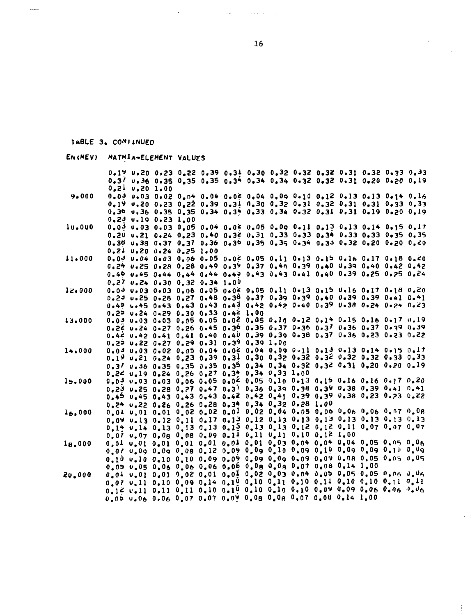#### TABLE 3. CONTINUED

 $\frac{1}{2}$  and  $\frac{1}{2}$ 

| EN (MEV)                       | MATRIA-ELEMENT VALUES                                                                                                                            |  |  |  |  |
|--------------------------------|--------------------------------------------------------------------------------------------------------------------------------------------------|--|--|--|--|
|                                | 0.19 0.20 0.23 0.22 0.39 0.31 0.30 0.32 0.32 0.32 0.31 0.32 0.33 0.33                                                                            |  |  |  |  |
|                                | 0.3/ 0.36 0.35 0.35 0.35 0.34 0.34 0.34 0.32 0.32 0.31 0.20 0.20 0.19                                                                            |  |  |  |  |
|                                | $0.21$ $0.20$ $1.00$                                                                                                                             |  |  |  |  |
| 9.000                          | 0.03 0.03 0.02 0.04 0.04 0.04 0.04 0.09 0.10 0.12 0.13 0.13 0.14 0.16                                                                            |  |  |  |  |
|                                | 0.19 0.20 0.23 0.22 0.39 0.31 0.30 0.32 0.31 0.32 0.31 0.31 0.33 0.33                                                                            |  |  |  |  |
|                                | 0.36 0.36 0.35 0.35 0.34 0.34 0.33 0.34 0.32 0.31 0.31 0.19 0.20 0.19                                                                            |  |  |  |  |
|                                | $0.23$ $0.19$ $0.23$ $1.00$                                                                                                                      |  |  |  |  |
| 10.000                         | $0.03$ u.03 0.03 0.05 0.04 0.04 0.05 0.09 0.11 0.13 0.13 0.14 0.15 0.17                                                                          |  |  |  |  |
|                                | 0.20 0.21 0.24 0.23 0.40 0.32 0.31 0.33 0.33 0.34 0.33 0.33 0.35 0.35                                                                            |  |  |  |  |
|                                | 0.38 0.38 0.37 0.37 0.36 0.36 0.35 0.35 0.34 0.34 0.32 0.20 0.20 0.20                                                                            |  |  |  |  |
|                                | 0.21 0.20 0.24 0.25 1.00                                                                                                                         |  |  |  |  |
| 11.000                         | $0.03$ u.04 0.03 0.06 0.05 0.02 0.05 0.11 0.13 0.15 0.16 0.17 0.18 0.20<br>0.24 0.25 0.28 0.28 0.49 0.39 0.37 0.40 0.39 0.40 0.39 0.40 0.42 0.42 |  |  |  |  |
|                                | 0.40 0.45 0.44 0.44 0.44 0.49 0.43 0.43 0.41 0.40 0.39 0.25 0.25 0.24                                                                            |  |  |  |  |
|                                | $0.27$ $v.24$ $0.30$ $0.32$ $0.34$ $1.00$                                                                                                        |  |  |  |  |
| 12.000                         | 0.03 0.03 0.03 0.06 0.05 0.04 0.05 0.11 0.13 0.15 0.16 0.17 0.18 0.20                                                                            |  |  |  |  |
|                                | 0.23 0.25 0.28 0.27 0.48 0.38 0.37 0.39 0.39 0.40 0.39 0.39 0.41 0.41                                                                            |  |  |  |  |
|                                | 0.45 0.45 0.43 0.43 0.43 0.43 0.42 0.42 0.40 0.39 0.38 0.24 0.24 0.23                                                                            |  |  |  |  |
|                                | 0.25 0.24 0.29 0.30 0.33 0.42 1.00                                                                                                               |  |  |  |  |
| 13.000                         | 0.03 0.03 0.03 0.05 0.05 0.02 0.05 0.10 0.12 0.14 0.15 0.16 0.17 0.19                                                                            |  |  |  |  |
|                                | 0.22 0.24 0.27 0.26 0.45 0.30 0.35 0.37 0.36 0.37 0.36 0.37 0.39 0.39                                                                            |  |  |  |  |
|                                | 0.42 0.42 0.41 0.41 0.40 0.40 0.39 0.39 0.38 0.37 0.36 0.23 0.23 0.22                                                                            |  |  |  |  |
|                                | $0.29$ $0.22$ $0.27$ $0.29$ $0.31$ $0.39$ $0.39$ $1.00$                                                                                          |  |  |  |  |
| 14.000                         | 0.04 0.03 0.02 0.05 0.04 0.04 0.04 0.09 0.11 0.13 0.13 0.14 0.15 0.17                                                                            |  |  |  |  |
|                                |                                                                                                                                                  |  |  |  |  |
|                                | 0.3/ 0.36 0.35 0.35 0.35 0.39 0.34 0.34 0.32 0.32 0.31 0.20 0.20 0.19                                                                            |  |  |  |  |
| 15.000                         | 0.24 0.19 0.24 0.26 0.27 0.34 0.34 0.33 1.00<br>0.00 0.03 0.03 0.06 0.05 0.02 0.05 0.10 0.13 0.15 0.16 0.16 0.17 0.20                            |  |  |  |  |
|                                | 0.23 0.25 0.28 0.27 0.47 0.37 0.36 0.39 0.38 0.39 0.38 0.39 0.41 0.41                                                                            |  |  |  |  |
|                                | 0.45 0.45 0.43 0.43 0.43 0.42 0.42 0.41 0.39 0.39 0.38 0.23 0.23 0.22                                                                            |  |  |  |  |
|                                | 0.24 0.22 0.26 0.26 0.28 0.34 0.34 0.32 0.28 1.00                                                                                                |  |  |  |  |
| 16.000                         | 0.04 0.01 0.01 0.02 0.02 0.01 0.02 0.04 0.05 0.06 0.06 0.06 0.07 0.08                                                                            |  |  |  |  |
|                                | 0.09 0.13 0.12 0.11 0.17 0.13 0.12 0.13 0.13 0.13 0.13 0.13 0.13 0.13                                                                            |  |  |  |  |
|                                | 0.14 0.14 0.13 0.13 0.13 0.13 0.13 0.13 0.12 0.12 0.11 0.07 0.07 0.07                                                                            |  |  |  |  |
|                                | 0.07 0.07 0.08 0.08 0.09 0.11 0.11 0.11 0.10 0.12 1.00                                                                                           |  |  |  |  |
| 1 <sub>B<sub>0</sub></sub> 000 | 0.01 0.01 0.01 0.01 0.01 0.01 0.01 0.03 0.04 0.04 0.04 0.05 0.05 0.06                                                                            |  |  |  |  |
|                                | $0.01$ $0.09$ $0.09$ $0.08$ $0.12$ $0.09$ $0.09$ $0.10$ $0.09$ $0.10$ $0.09$ $0.09$ $0.09$ $0.10$ $0.09$                                         |  |  |  |  |
|                                |                                                                                                                                                  |  |  |  |  |
|                                | 0.05 0.05 0.06 0.06 0.06 0.08 0.08 0.09 0.07 0.08 0.14 1.00                                                                                      |  |  |  |  |
| 20.000                         | $0.01$ 0.01 0.01 0.02 0.01 0.01 0.02 0.03 0.04 0.05 0.05 0.05 0.06 0.06                                                                          |  |  |  |  |
|                                |                                                                                                                                                  |  |  |  |  |
|                                |                                                                                                                                                  |  |  |  |  |
|                                | 0.06 0.06 0.06 0.07 0.07 0.09 0.08 0.08 0.07 0.08 0.14 1.00                                                                                      |  |  |  |  |

16

 $\sim$ 

 $\frac{1}{2}$ 

 $\mathcal{O}(\mathcal{A}^{\mathcal{A}})$  , where  $\mathcal{O}(\mathcal{A}^{\mathcal{A}})$  , where  $\mathcal{O}(\mathcal{A}^{\mathcal{A}})$